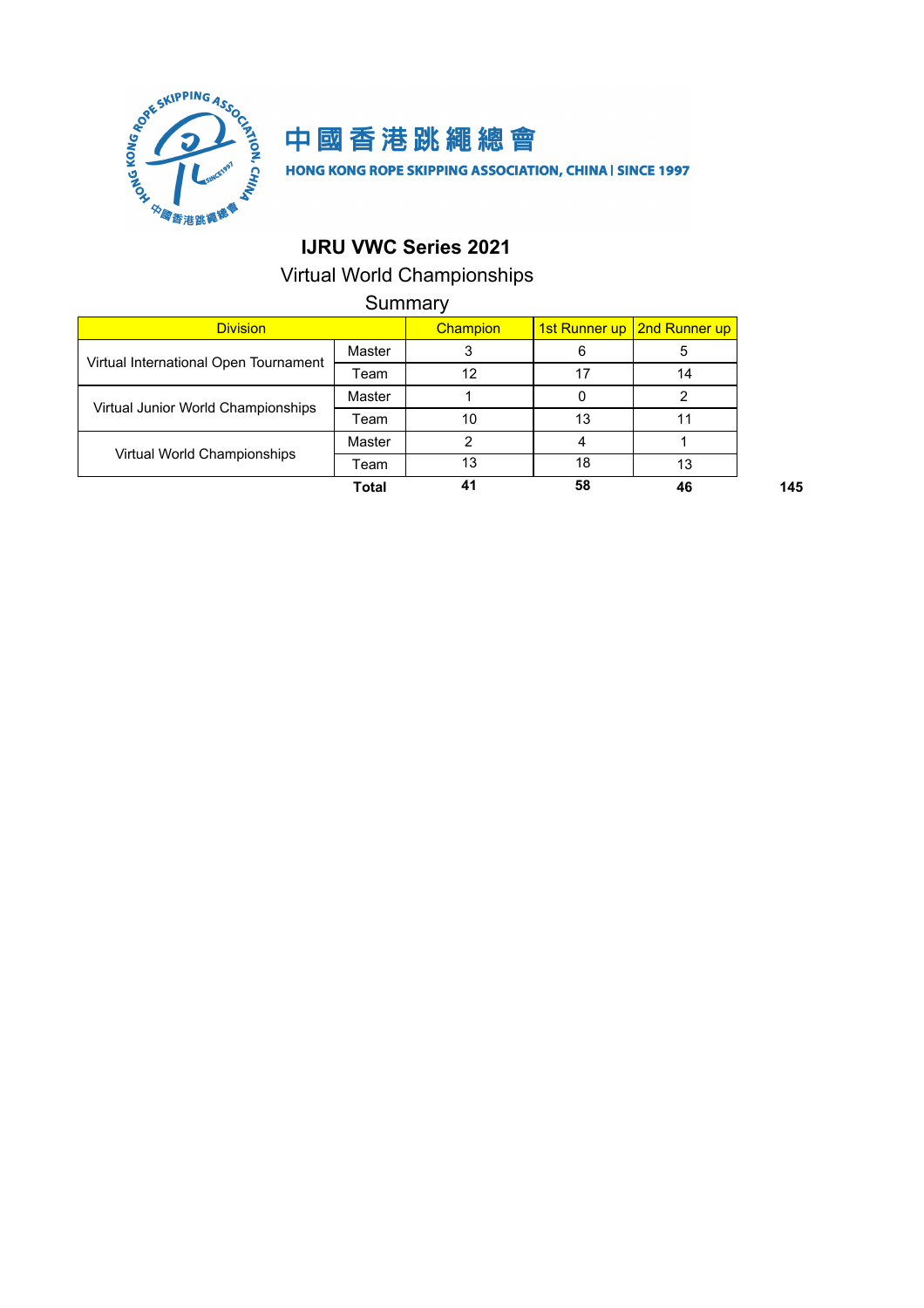



HONG KONG ROPE SKIPPING ASSOCIATION, CHINA | SINCE 1997

## **IJRU VWC Series 2021**

## Virtual World Championships

Summary

| <b>Division</b>                       |        | Champion |    | 1st Runner up   2nd Runner up |
|---------------------------------------|--------|----------|----|-------------------------------|
|                                       | Master |          | 6  |                               |
| Virtual International Open Tournament | Team   | 12       |    | 14                            |
|                                       | Master |          |    |                               |
| Virtual Junior World Championships    | Team   | 10       | 13 |                               |
|                                       | Master |          |    |                               |
| Virtual World Championships           | Team   | 13       | 18 | 13                            |
|                                       | Total  | 41       | 58 | 46                            |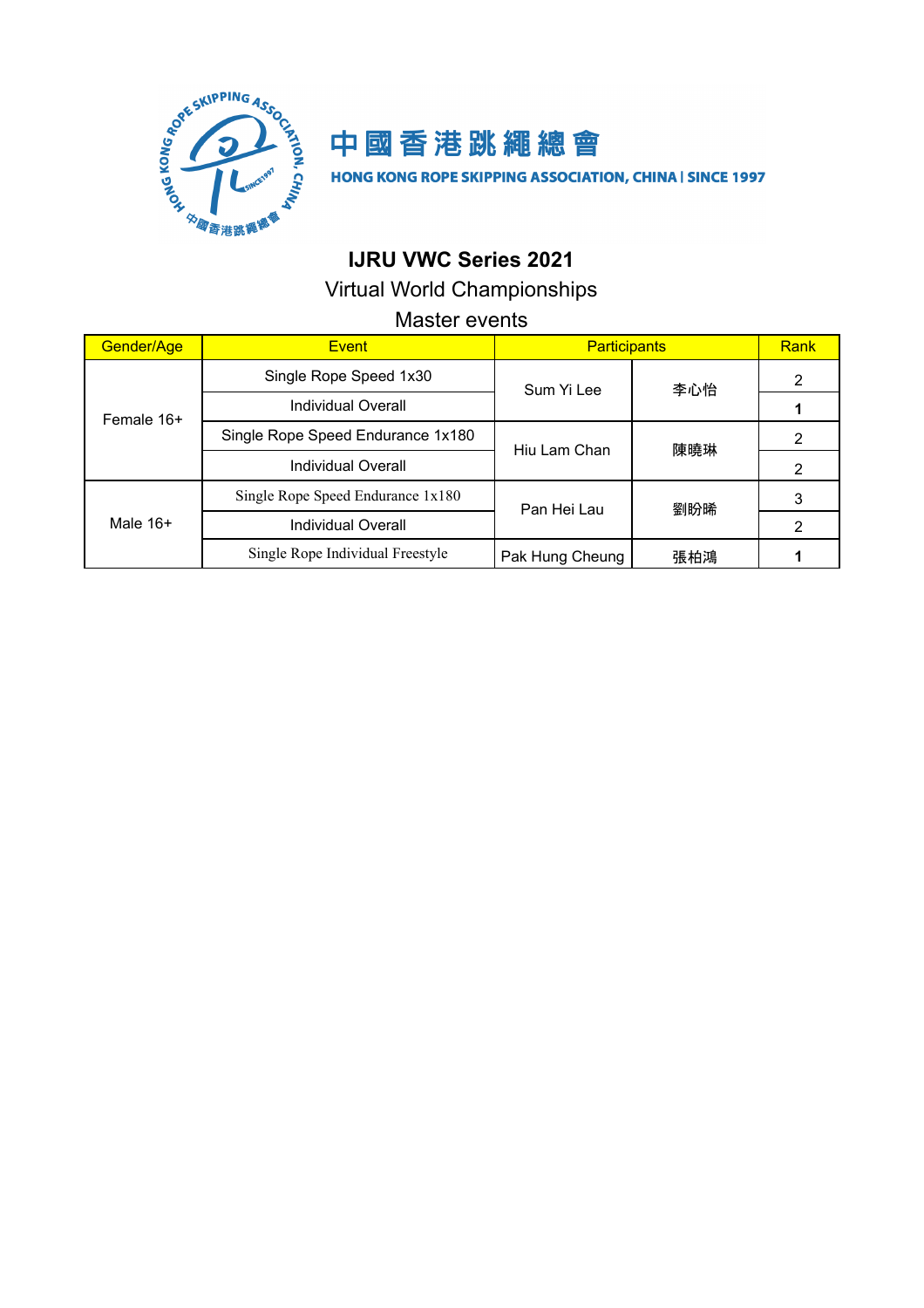

# 中國香港跳繩總會

HONG KONG ROPE SKIPPING ASSOCIATION, CHINA | SINCE 1997

## **IJRU VWC Series 2021**

Virtual World Championships

### Master events

| Gender/Age | <b>Event</b>                                                            | <b>Participants</b> |     | Rank |
|------------|-------------------------------------------------------------------------|---------------------|-----|------|
| Female 16+ | Single Rope Speed 1x30                                                  | Sum Yi Lee          | 李心怡 | 2    |
|            | Individual Overall                                                      |                     |     |      |
|            | Single Rope Speed Endurance 1x180<br>Hiu Lam Chan<br>Individual Overall |                     | 陳曉琳 | 2    |
|            |                                                                         |                     |     | 2    |
|            | Single Rope Speed Endurance 1x180                                       | Pan Hei Lau         | 劉盼晞 | 3    |
| Male $16+$ | Individual Overall                                                      |                     |     | 2    |
|            | Single Rope Individual Freestyle                                        | Pak Hung Cheung     | 張柏鴻 |      |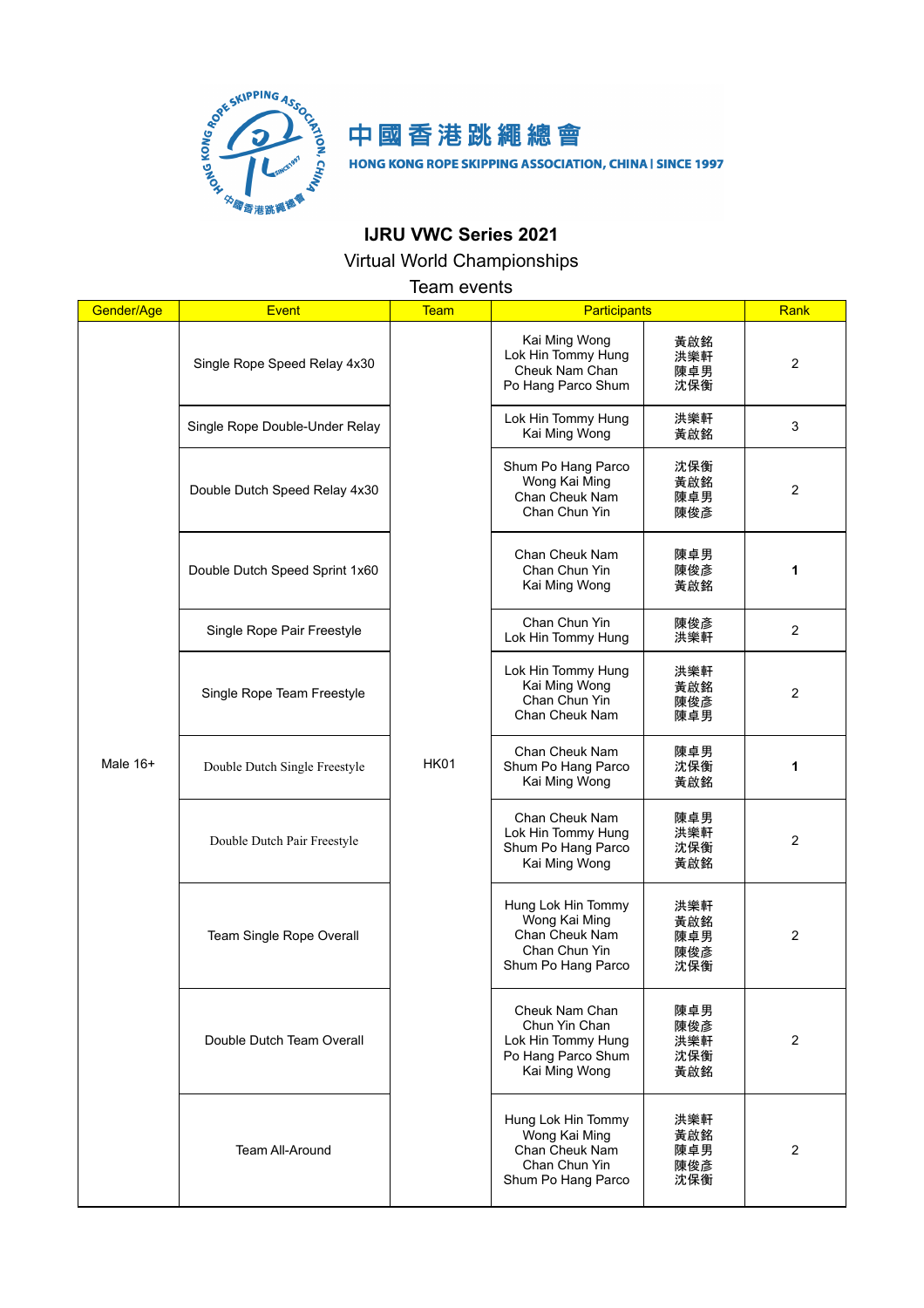

## 中國香港跳繩總會

HONG KONG ROPE SKIPPING ASSOCIATION, CHINA | SINCE 1997

## **IJRU VWC Series 2021**

Virtual World Championships

Team events

| Gender/Age | <b>Event</b>                   | <b>Team</b> | <b>Participants</b>                                                                          |                                 | Rank           |
|------------|--------------------------------|-------------|----------------------------------------------------------------------------------------------|---------------------------------|----------------|
|            | Single Rope Speed Relay 4x30   |             | Kai Ming Wong<br>Lok Hin Tommy Hung<br>Cheuk Nam Chan<br>Po Hang Parco Shum                  | 黃啟銘<br>洪樂軒<br>陳卓男<br>沈保衡        | $\overline{2}$ |
| Male $16+$ | Single Rope Double-Under Relay |             | Lok Hin Tommy Hung<br>Kai Ming Wong                                                          | 洪樂軒<br>黃啟銘                      | 3              |
|            | Double Dutch Speed Relay 4x30  |             | Shum Po Hang Parco<br>Wong Kai Ming<br>Chan Cheuk Nam<br>Chan Chun Yin                       | 沈保衡<br>黃啟銘<br>陳卓男<br>陳俊彥        | $\overline{2}$ |
|            | Double Dutch Speed Sprint 1x60 |             | Chan Cheuk Nam<br>Chan Chun Yin<br>Kai Ming Wong                                             | 陳卓男<br>陳俊彥<br>黃啟銘               | 1              |
|            | Single Rope Pair Freestyle     |             | Chan Chun Yin<br>Lok Hin Tommy Hung                                                          | 陳俊彥<br>洪樂軒                      | 2              |
|            | Single Rope Team Freestyle     | <b>HK01</b> | Lok Hin Tommy Hung<br>Kai Ming Wong<br>Chan Chun Yin<br>Chan Cheuk Nam                       | 洪樂軒<br>黃啟銘<br>陳俊彥<br>陳卓男        | $\overline{2}$ |
|            | Double Dutch Single Freestyle  |             | Chan Cheuk Nam<br>Shum Po Hang Parco<br>Kai Ming Wong                                        | 陳卓男<br>沈保衡<br>黃啟銘               | 1              |
|            | Double Dutch Pair Freestyle    |             | Chan Cheuk Nam<br>Lok Hin Tommy Hung<br>Shum Po Hang Parco<br>Kai Ming Wong                  | 陳卓男<br>洪樂軒<br>沈保衡<br>黃啟銘        | 2              |
|            | Team Single Rope Overall       |             | Hung Lok Hin Tommy<br>Wong Kai Ming<br>Chan Cheuk Nam<br>Chan Chun Yin<br>Shum Po Hang Parco | 洪樂軒<br>黃啟銘<br>陳卓男<br>陳俊彥<br>沈保衡 | $\overline{2}$ |
|            | Double Dutch Team Overall      |             | Cheuk Nam Chan<br>Chun Yin Chan<br>Lok Hin Tommy Hung<br>Po Hang Parco Shum<br>Kai Ming Wong | 陳卓男<br>陳俊彥<br>洪樂軒<br>沈保衡<br>黃啟銘 | $\overline{2}$ |
|            | <b>Team All-Around</b>         |             | Hung Lok Hin Tommy<br>Wong Kai Ming<br>Chan Cheuk Nam<br>Chan Chun Yin<br>Shum Po Hang Parco | 洪樂軒<br>黃啟銘<br>陳卓男<br>陳俊彥<br>沈保衡 | $\overline{2}$ |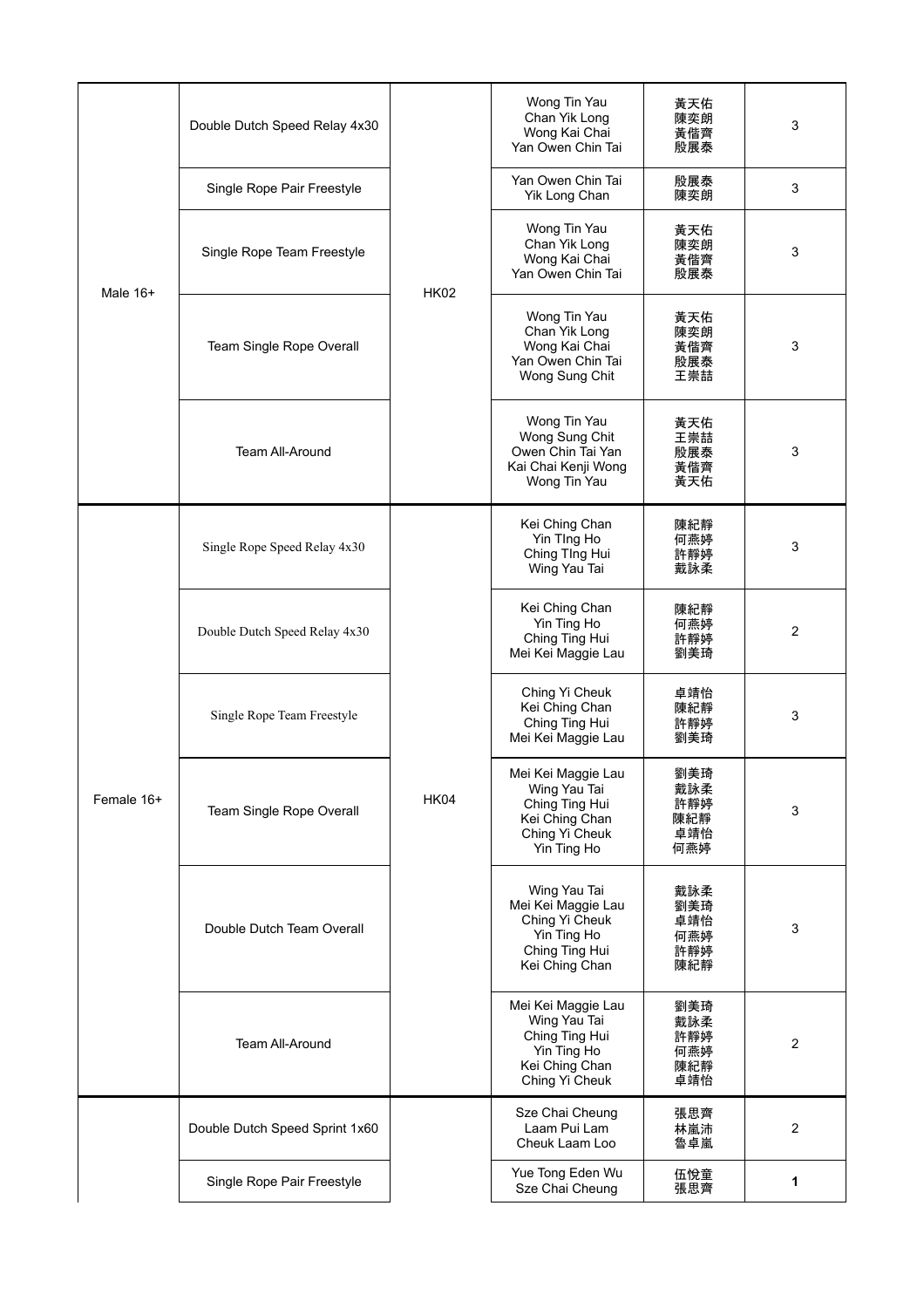|            | Double Dutch Speed Relay 4x30  |             | Wong Tin Yau<br>Chan Yik Long<br>Wong Kai Chai<br>Yan Owen Chin Tai                                     | 黃天佑<br>陳奕朗<br>黃偕齊<br>殷展泰               | 3              |
|------------|--------------------------------|-------------|---------------------------------------------------------------------------------------------------------|----------------------------------------|----------------|
|            | Single Rope Pair Freestyle     |             | Yan Owen Chin Tai<br>Yik Long Chan                                                                      | 殷展泰<br>陳奕朗                             | 3              |
| Male $16+$ | Single Rope Team Freestyle     | <b>HK02</b> | Wong Tin Yau<br>Chan Yik Long<br>Wong Kai Chai<br>Yan Owen Chin Tai                                     | 黃天佑<br>陳奕朗<br>黃偕齊<br>殷展泰               | 3              |
|            | Team Single Rope Overall       |             | Wong Tin Yau<br>Chan Yik Long<br>Wong Kai Chai<br>Yan Owen Chin Tai<br>Wong Sung Chit                   | 黃天佑<br>陳奕朗<br>黃偕齊<br>殷展泰<br>王崇喆        | 3              |
|            | <b>Team All-Around</b>         |             | Wong Tin Yau<br>Wong Sung Chit<br>Owen Chin Tai Yan<br>Kai Chai Kenji Wong<br>Wong Tin Yau              | 黃天佑<br>王崇喆<br>殷展泰<br>黃偕齊<br>黃天佑        | 3              |
|            | Single Rope Speed Relay 4x30   |             | Kei Ching Chan<br>Yin TIng Ho<br>Ching TIng Hui<br>Wing Yau Tai                                         | 陳紀靜<br>何燕婷<br>許靜婷<br>戴詠柔               | 3              |
|            | Double Dutch Speed Relay 4x30  |             | Kei Ching Chan<br>Yin Ting Ho<br>Ching Ting Hui<br>Mei Kei Maggie Lau                                   | 陳紀靜<br>何燕婷<br>許靜婷<br>劉美琦               | $\mathbf{2}$   |
|            | Single Rope Team Freestyle     | <b>HK04</b> | Ching Yi Cheuk<br>Kei Ching Chan<br>Ching Ting Hui<br>Mei Kei Maggie Lau                                | 卓靖怡<br>陳紀靜<br>許靜婷<br>劉美琦               | 3              |
| Female 16+ | Team Single Rope Overall       |             | Mei Kei Maggie Lau<br>Wing Yau Tai<br>Ching Ting Hui<br>Kei Ching Chan<br>Ching Yi Cheuk<br>Yin Ting Ho | 劉美琦<br>戴詠柔<br>許靜婷<br>陳紀靜<br>卓靖怡<br>何燕婷 | 3              |
|            | Double Dutch Team Overall      |             | Wing Yau Tai<br>Mei Kei Maggie Lau<br>Ching Yi Cheuk<br>Yin Ting Ho<br>Ching Ting Hui<br>Kei Ching Chan | 戴詠柔<br>劉美琦<br>卓靖怡<br>何燕婷<br>許靜婷<br>陳紀靜 | 3              |
|            | <b>Team All-Around</b>         |             | Mei Kei Maggie Lau<br>Wing Yau Tai<br>Ching Ting Hui<br>Yin Ting Ho<br>Kei Ching Chan<br>Ching Yi Cheuk | 劉美琦<br>戴詠柔<br>許靜婷<br>何燕婷<br>陳紀靜<br>卓靖怡 | $\overline{2}$ |
|            | Double Dutch Speed Sprint 1x60 |             | Sze Chai Cheung<br>Laam Pui Lam<br>Cheuk Laam Loo                                                       | 張思齊<br>林嵐沛<br>魯卓嵐                      | $\overline{2}$ |
|            | Single Rope Pair Freestyle     |             | Yue Tong Eden Wu<br>Sze Chai Cheung                                                                     | 伍悅童<br>張思齊                             | 1              |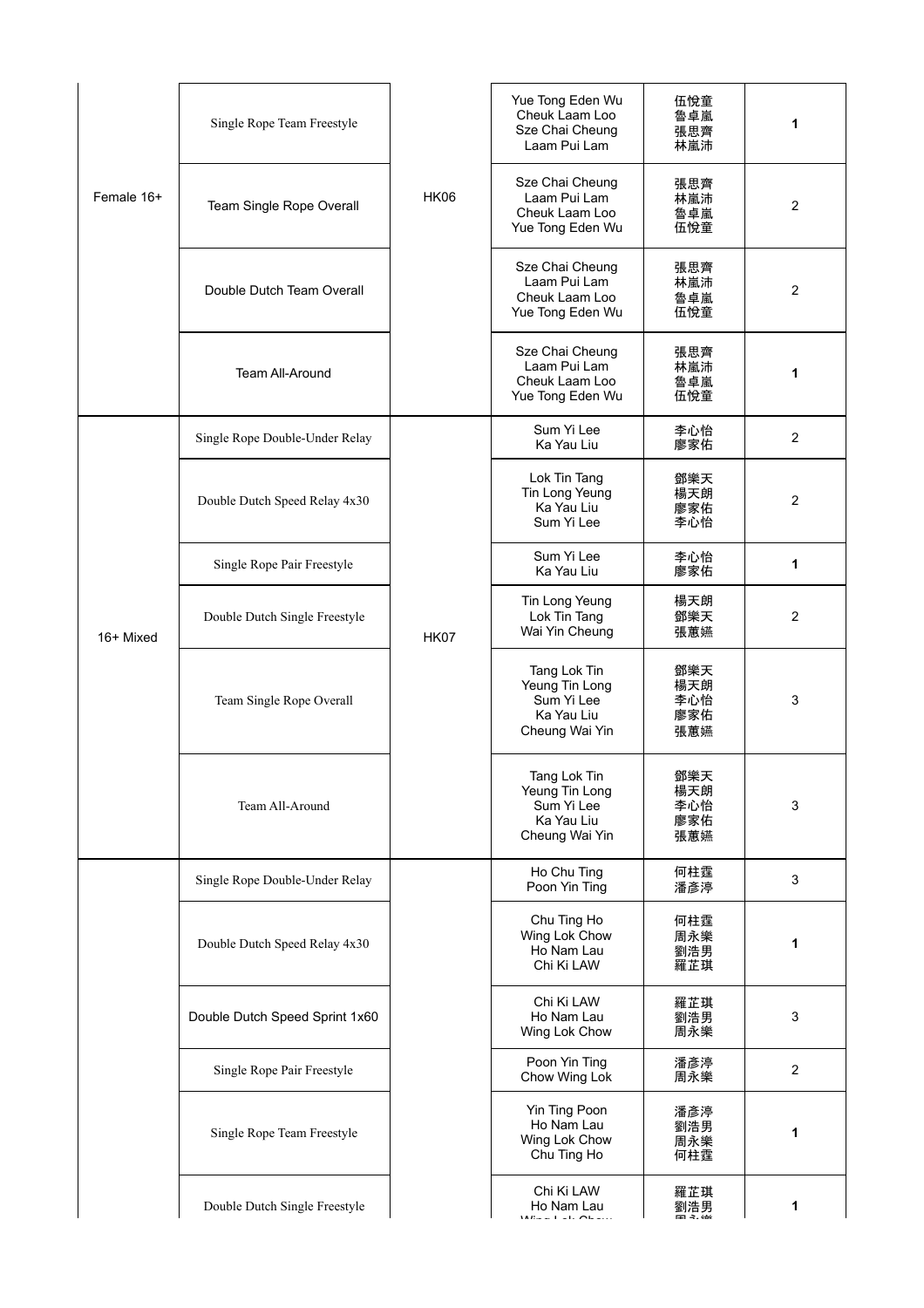|            | Single Rope Team Freestyle     |             | Yue Tong Eden Wu<br>Cheuk Laam Loo<br>Sze Chai Cheung<br>Laam Pui Lam        | 伍悅童<br>魯卓嵐<br>張思齊<br>林嵐沛        | 1              |
|------------|--------------------------------|-------------|------------------------------------------------------------------------------|---------------------------------|----------------|
| Female 16+ | Team Single Rope Overall       | <b>HK06</b> | Sze Chai Cheung<br>Laam Pui Lam<br>Cheuk Laam Loo<br>Yue Tong Eden Wu        | 張思齊<br>林嵐沛<br>魯卓嵐<br>伍悅童        | $\overline{2}$ |
|            | Double Dutch Team Overall      |             | Sze Chai Cheung<br>Laam Pui Lam<br>Cheuk Laam Loo<br>Yue Tong Eden Wu        | 張思齊<br>林嵐沛<br>魯卓嵐<br>伍悅童        | $\overline{2}$ |
|            | Team All-Around                |             | Sze Chai Cheung<br>Laam Pui Lam<br>Cheuk Laam Loo<br>Yue Tong Eden Wu        | 張思齊<br>林嵐沛<br>魯卓嵐<br>伍悅童        | 1              |
|            | Single Rope Double-Under Relay |             | Sum Yi Lee<br>Ka Yau Liu                                                     | 李心怡<br>廖家佑                      | $\overline{2}$ |
| 16+ Mixed  | Double Dutch Speed Relay 4x30  |             | Lok Tin Tang<br>Tin Long Yeung<br>Ka Yau Liu<br>Sum Yi Lee                   | 鄧樂天<br>楊天朗<br>廖家佑<br>李心怡        | $\overline{2}$ |
|            | Single Rope Pair Freestyle     |             | Sum Yi Lee<br>Ka Yau Liu                                                     | 李心怡<br>廖家佑                      | 1              |
|            | Double Dutch Single Freestyle  | <b>HK07</b> | Tin Long Yeung<br>Lok Tin Tang<br>Wai Yin Cheung                             | 楊天朗<br>鄧樂天<br>張蕙嬿               | $\overline{2}$ |
|            | Team Single Rope Overall       |             | Tang Lok Tin<br>Yeung Tin Long<br>Sum Yi Lee<br>Ka Yau Liu<br>Cheung Wai Yin | 鄧樂天<br>楊天朗<br>李心怡<br>廖家佑<br>張蕙嬿 | 3              |
|            | Team All-Around                |             | Tang Lok Tin<br>Yeung Tin Long<br>Sum Yi Lee<br>Ka Yau Liu<br>Cheung Wai Yin | 鄧樂天<br>楊天朗<br>李心怡<br>廖家佑<br>張蕙嬿 | 3              |
|            | Single Rope Double-Under Relay |             | Ho Chu Ting<br>Poon Yin Ting                                                 | 何柱霆<br>潘彥渟                      | 3              |
|            | Double Dutch Speed Relay 4x30  |             | Chu Ting Ho<br>Wing Lok Chow<br>Ho Nam Lau<br>Chi Ki LAW                     | 何柱霆<br>周永樂<br>劉浩男<br>羅芷琪        | 1              |
|            | Double Dutch Speed Sprint 1x60 |             | Chi Ki LAW<br>Ho Nam Lau<br>Wing Lok Chow                                    | 羅芷琪<br>劉浩男<br>周永樂               | 3              |
|            | Single Rope Pair Freestyle     |             | Poon Yin Ting<br>Chow Wing Lok                                               | 潘彥渟<br>周永樂                      | $\overline{2}$ |
|            | Single Rope Team Freestyle     |             | Yin Ting Poon<br>Ho Nam Lau<br>Wing Lok Chow<br>Chu Ting Ho                  | 潘彥渟<br>劉浩男<br>周永樂<br>何柱霆        | 1              |
|            | Double Dutch Single Freestyle  |             | Chi Ki LAW<br>Ho Nam Lau<br>$-1 - 1 - 21$                                    | 羅芷琪<br>劉浩男                      | 1              |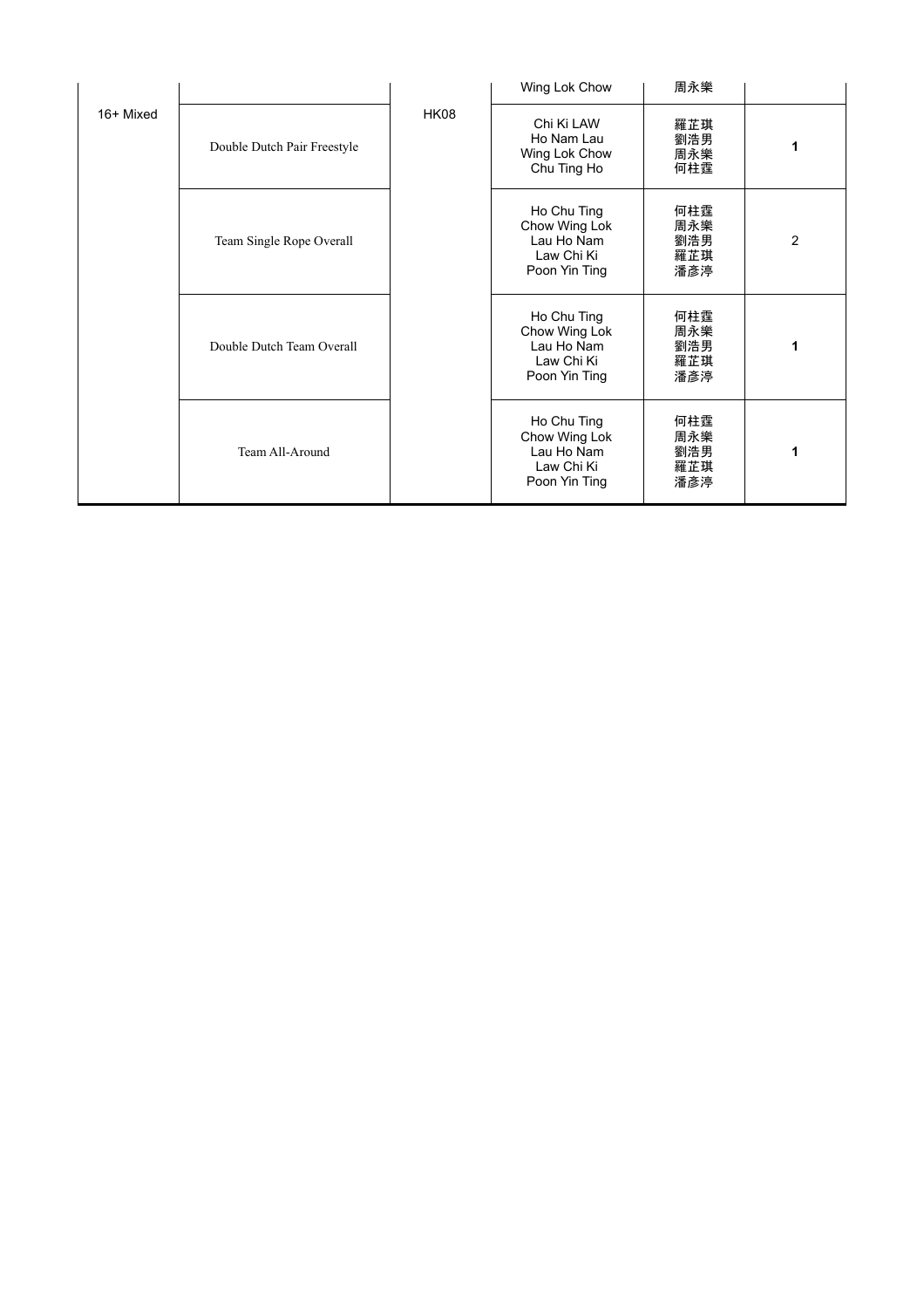|           |                             |             | Wing Lok Chow                                                             | 周永樂                             |                |
|-----------|-----------------------------|-------------|---------------------------------------------------------------------------|---------------------------------|----------------|
| 16+ Mixed | Double Dutch Pair Freestyle | <b>HK08</b> | Chi Ki LAW<br>Ho Nam Lau<br>Wing Lok Chow<br>Chu Ting Ho                  | 羅芷琪<br>劉浩男<br>周永樂<br>何柱霆        | 1              |
|           | Team Single Rope Overall    |             | Ho Chu Ting<br>Chow Wing Lok<br>Lau Ho Nam<br>Law Chi Ki<br>Poon Yin Ting | 何柱霆<br>周永樂<br>劉浩男<br>羅芷琪<br>潘彥渟 | $\overline{2}$ |
|           | Double Dutch Team Overall   |             | Ho Chu Ting<br>Chow Wing Lok<br>Lau Ho Nam<br>Law Chi Ki<br>Poon Yin Ting | 何柱霆<br>周永樂<br>劉浩男<br>羅芷琪<br>潘彥渟 | 1              |
|           | Team All-Around             |             | Ho Chu Ting<br>Chow Wing Lok<br>Lau Ho Nam<br>Law Chi Ki<br>Poon Yin Ting | 何柱霆<br>周永樂<br>劉浩男<br>羅芷琪<br>潘彥渟 | 1              |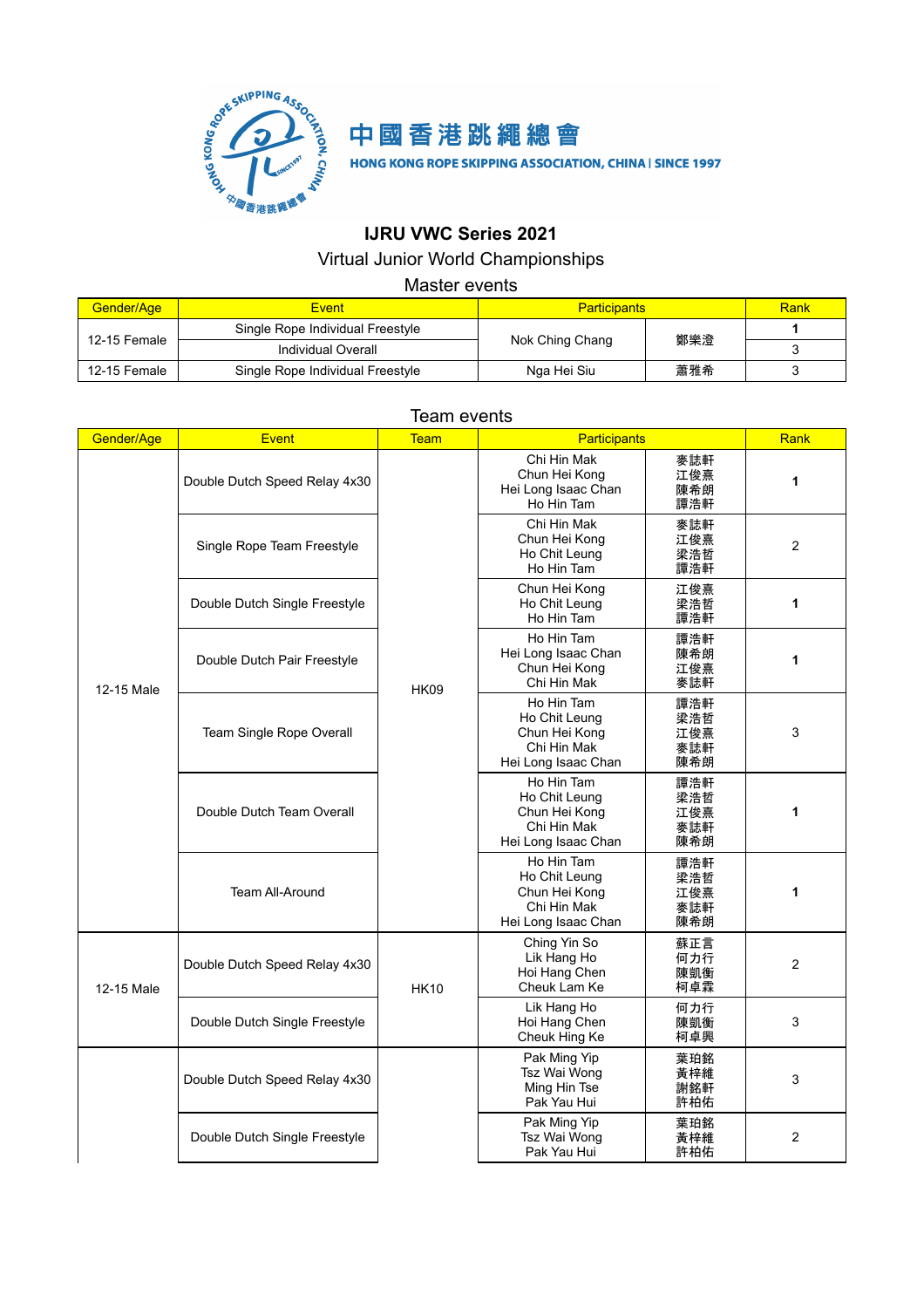



HONG KONG ROPE SKIPPING ASSOCIATION, CHINA | SINCE 1997

## **IJRU VWC Series 2021**

#### Virtual Junior World Championships

#### Master events

| Gender/Age   | <b>Event</b>                     | <b>Participants</b>    |     | Rank |
|--------------|----------------------------------|------------------------|-----|------|
| 12-15 Female | Single Rope Individual Freestyle |                        |     |      |
|              | Individual Overall               | 鄭樂澄<br>Nok Ching Chang |     |      |
| 12-15 Female | Single Rope Individual Freestyle | Nga Hei Siu            | 蕭雅希 |      |

#### Team events

| Gender/Age | <b>Event</b>                  | <b>Team</b> | Participants                                                                       |                                 | Rank           |
|------------|-------------------------------|-------------|------------------------------------------------------------------------------------|---------------------------------|----------------|
|            | Double Dutch Speed Relay 4x30 |             | Chi Hin Mak<br>Chun Hei Kong<br>Hei Long Isaac Chan<br>Ho Hin Tam                  | 麥誌軒<br>江俊熹<br>陳希朗<br>譚浩軒        | 1              |
|            | Single Rope Team Freestyle    |             | Chi Hin Mak<br>Chun Hei Kong<br>Ho Chit Leung<br>Ho Hin Tam                        | 麥誌軒<br>江俊熹<br>梁浩哲<br>譚浩軒        | 2              |
|            | Double Dutch Single Freestyle |             | Chun Hei Kong<br>Ho Chit Leung<br>Ho Hin Tam                                       | 江俊熹<br>梁浩哲<br>譚浩軒               | 1              |
| 12-15 Male | Double Dutch Pair Freestyle   | <b>HK09</b> | Ho Hin Tam<br>Hei Long Isaac Chan<br>Chun Hei Kong<br>Chi Hin Mak                  | 譚浩軒<br>陳希朗<br>江俊熹<br>麥誌軒        | 1              |
|            | Team Single Rope Overall      |             | Ho Hin Tam<br>Ho Chit Leung<br>Chun Hei Kong<br>Chi Hin Mak<br>Hei Long Isaac Chan | 譚浩軒<br>梁浩哲<br>江俊熹<br>麥誌軒<br>陳希朗 | 3              |
|            | Double Dutch Team Overall     |             | Ho Hin Tam<br>Ho Chit Leung<br>Chun Hei Kong<br>Chi Hin Mak<br>Hei Long Isaac Chan | 譚浩軒<br>梁浩哲<br>江俊熹<br>麥誌軒<br>陳希朗 | 1              |
|            | <b>Team All-Around</b>        |             | Ho Hin Tam<br>Ho Chit Leung<br>Chun Hei Kong<br>Chi Hin Mak<br>Hei Long Isaac Chan | 譚浩軒<br>梁浩哲<br>江俊熹<br>麥誌軒<br>陳希朗 | 1              |
| 12-15 Male | Double Dutch Speed Relay 4x30 | <b>HK10</b> | Ching Yin So<br>Lik Hang Ho<br>Hoi Hang Chen<br>Cheuk Lam Ke                       | 蘇正言<br>何力行<br>陳凱衡<br>柯卓霖        | $\overline{2}$ |
|            | Double Dutch Single Freestyle |             | Lik Hang Ho<br>Hoi Hang Chen<br>Cheuk Hing Ke                                      | 何力行<br>陳凱衡<br>柯卓興               | 3              |
|            | Double Dutch Speed Relay 4x30 |             | Pak Ming Yip<br>Tsz Wai Wong<br>Ming Hin Tse<br>Pak Yau Hui                        | 葉珀銘<br>黃梓維<br>謝銘軒<br>許柏佑        | 3              |
|            | Double Dutch Single Freestyle |             | Pak Ming Yip<br>Tsz Wai Wong<br>Pak Yau Hui                                        | 葉珀銘<br>黃梓維<br>許柏佑               | 2              |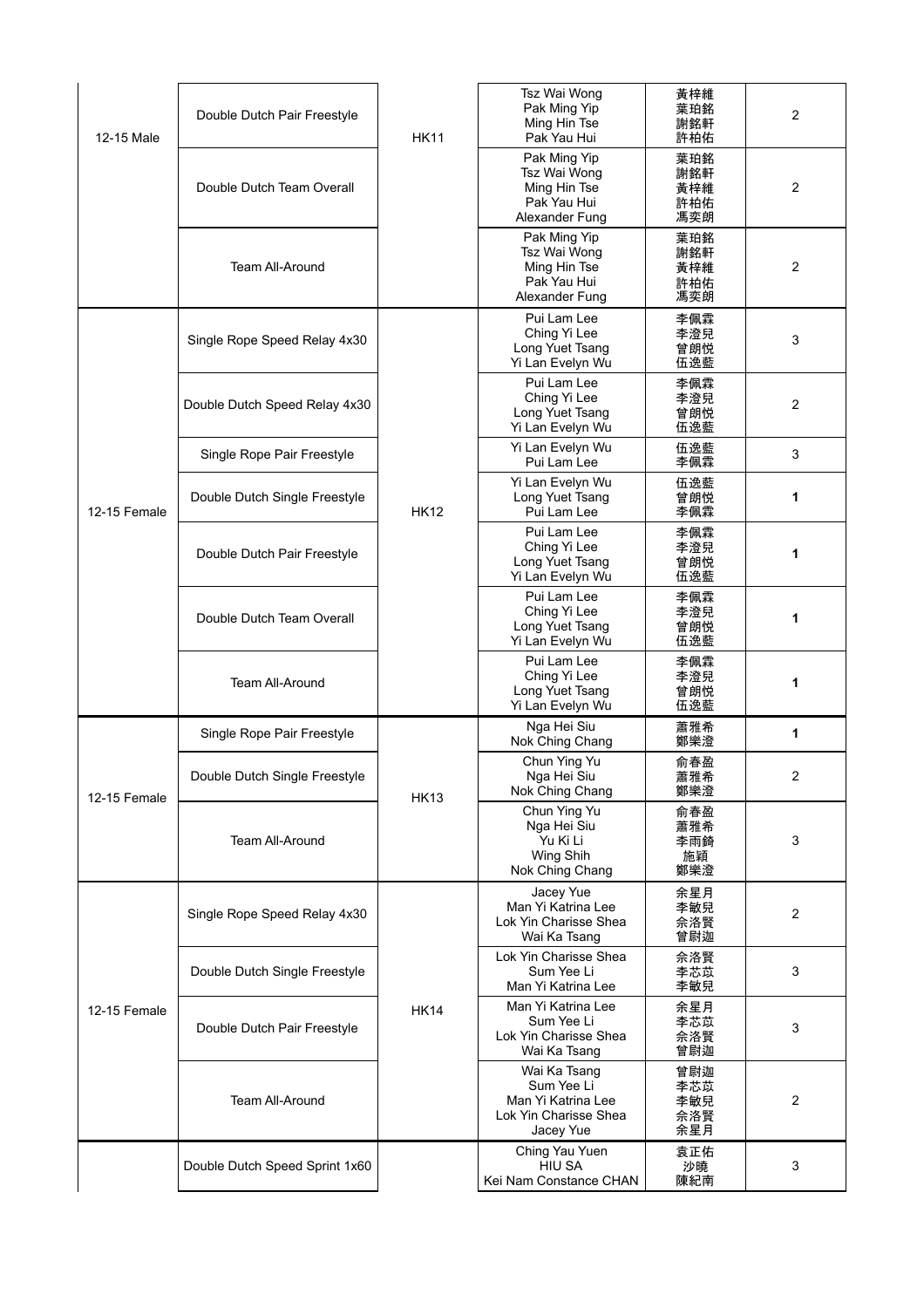| 12-15 Male   | Double Dutch Pair Freestyle    | <b>HK11</b> | Tsz Wai Wong<br>Pak Ming Yip<br>Ming Hin Tse<br>Pak Yau Hui                            | 黃梓維<br>葉珀銘<br>謝銘軒<br>許柏佑        | 2              |
|--------------|--------------------------------|-------------|----------------------------------------------------------------------------------------|---------------------------------|----------------|
|              | Double Dutch Team Overall      |             | Pak Ming Yip<br>Tsz Wai Wong<br>Ming Hin Tse<br>Pak Yau Hui<br>Alexander Fung          | 葉珀銘<br>謝銘軒<br>黃梓維<br>許柏佑<br>馮奕朗 | $\overline{2}$ |
|              | Team All-Around                |             | Pak Ming Yip<br>Tsz Wai Wong<br>Ming Hin Tse<br>Pak Yau Hui<br>Alexander Fung          | 葉珀銘<br>謝銘軒<br>黃梓維<br>許柏佑<br>馮奕朗 | 2              |
|              | Single Rope Speed Relay 4x30   |             | Pui Lam Lee<br>Ching Yi Lee<br>Long Yuet Tsang<br>Yi Lan Evelyn Wu                     | 李佩霖<br>李澄兒<br>曾朗悦<br>伍逸藍        | 3              |
|              | Double Dutch Speed Relay 4x30  |             | Pui Lam Lee<br>Ching Yi Lee<br>Long Yuet Tsang<br>Yi Lan Evelyn Wu                     | 李佩霖<br>李澄兒<br>曾朗悦<br>伍逸藍        | 2              |
|              | Single Rope Pair Freestyle     |             | Yi Lan Evelyn Wu<br>Pui Lam Lee                                                        | 伍逸藍<br>李佩霖                      | 3              |
| 12-15 Female | Double Dutch Single Freestyle  | <b>HK12</b> | Yi Lan Evelyn Wu<br>Long Yuet Tsang<br>Pui Lam Lee                                     | 伍逸藍<br>曾朗悦<br>李佩霖               | 1              |
|              | Double Dutch Pair Freestyle    |             | Pui Lam Lee<br>Ching Yi Lee<br>Long Yuet Tsang<br>Yi Lan Evelyn Wu                     | 李佩霖<br>李澄兒<br>曾朗悦<br>伍逸藍        | 1              |
|              | Double Dutch Team Overall      |             | Pui Lam Lee<br>Ching Yi Lee<br>Long Yuet Tsang<br>Yi Lan Evelyn Wu                     | 李佩霖<br>李澄兒<br>曾朗悦<br>伍逸藍        | 1              |
|              | Team All-Around                |             | Pui Lam Lee<br>Ching Yi Lee<br>Long Yuet Tsang<br>Yi Lan Evelyn Wu                     | 李佩霖<br>李澄兒<br>曾朗悦<br>伍逸藍        | 1              |
|              | Single Rope Pair Freestyle     |             | Nga Hei Siu<br>Nok Ching Chang                                                         | 蕭雅希<br>鄭樂澄                      | 1              |
| 12-15 Female | Double Dutch Single Freestyle  | <b>HK13</b> | Chun Ying Yu<br>Nga Hei Siu<br>Nok Ching Chang                                         | 俞春盈<br>蕭雅希<br>鄭樂澄               | 2              |
|              | <b>Team All-Around</b>         |             | Chun Ying Yu<br>Nga Hei Siu<br>Yu Ki Li<br>Wing Shih<br>Nok Ching Chang                | 俞春盈<br>蕭雅希<br>李雨錡<br>施穎<br>鄭樂澄  | 3              |
|              | Single Rope Speed Relay 4x30   |             | Jacey Yue<br>Man Yi Katrina Lee<br>Lok Yin Charisse Shea<br>Wai Ka Tsang               | 余星月<br>李敏兒<br>佘洛賢<br>曾尉迦        | $\overline{2}$ |
|              | Double Dutch Single Freestyle  |             | Lok Yin Charisse Shea<br>Sum Yee Li<br>Man Yi Katrina Lee                              | 佘洛賢<br>李芯苡<br>李敏兒               | 3              |
| 12-15 Female | Double Dutch Pair Freestyle    | <b>HK14</b> | Man Yi Katrina Lee<br>Sum Yee Li<br>Lok Yin Charisse Shea<br>Wai Ka Tsang              | 余星月<br>李芯苡<br>佘洛賢<br>曾尉迦        | 3              |
|              | Team All-Around                |             | Wai Ka Tsang<br>Sum Yee Li<br>Man Yi Katrina Lee<br>Lok Yin Charisse Shea<br>Jacey Yue | 曾尉迦<br>李芯苡<br>李敏兒<br>佘洛賢<br>余星月 | 2              |
|              | Double Dutch Speed Sprint 1x60 |             | Ching Yau Yuen<br>HIU SA<br>Kei Nam Constance CHAN                                     | 袁正佑<br>沙曉<br>陳紀南                | 3              |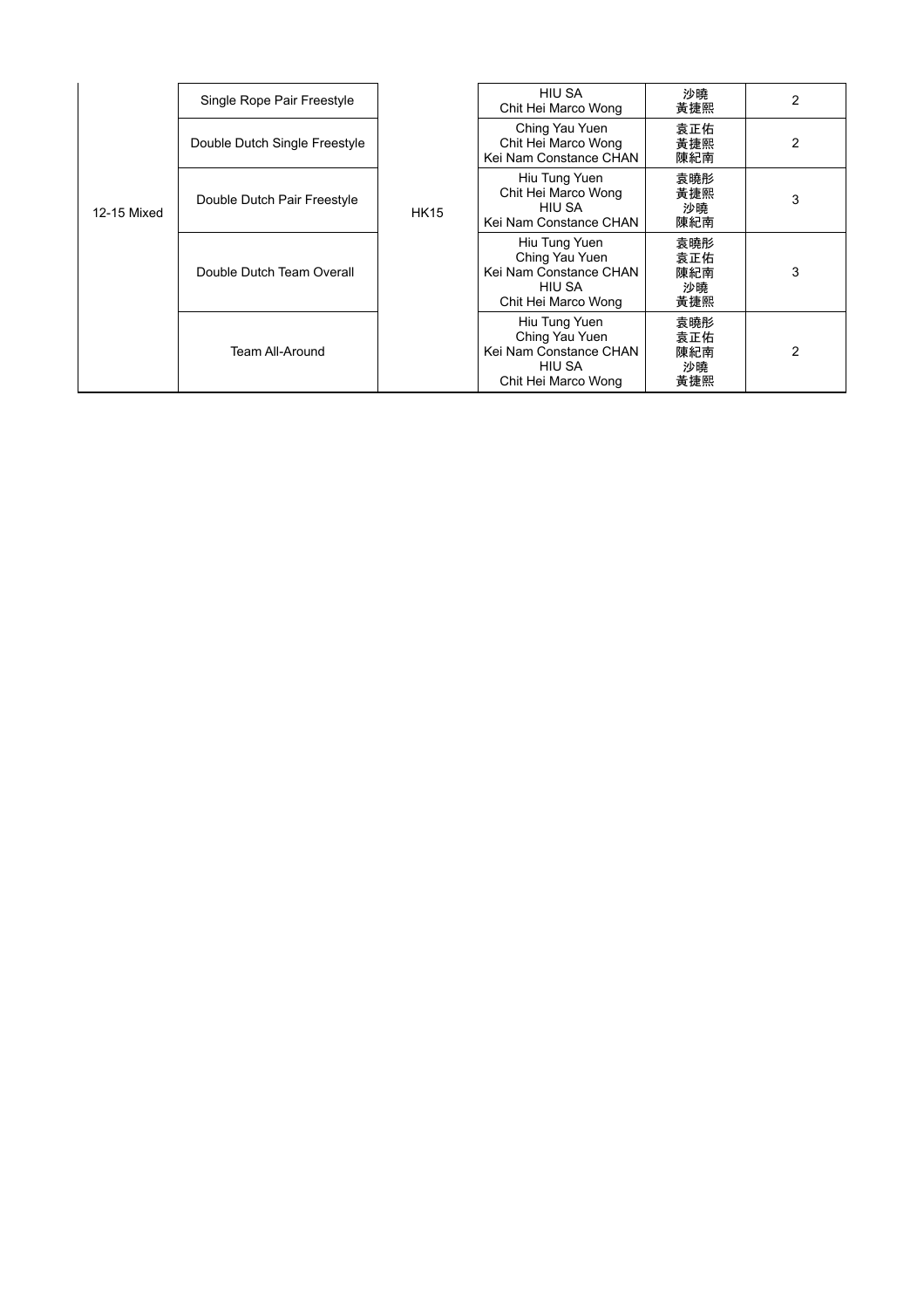|             | Single Rope Pair Freestyle    |             | <b>HIU SA</b><br>Chit Hei Marco Wong                                                       | 沙曉<br>黃捷熙                      | 2 |
|-------------|-------------------------------|-------------|--------------------------------------------------------------------------------------------|--------------------------------|---|
| 12-15 Mixed | Double Dutch Single Freestyle | <b>HK15</b> | Ching Yau Yuen<br>Chit Hei Marco Wong<br>Kei Nam Constance CHAN                            | 袁正佑<br>黃捷熙<br>陳紀南              | 2 |
|             | Double Dutch Pair Freestyle   |             | Hiu Tung Yuen<br>Chit Hei Marco Wong<br>HIU SA<br>Kei Nam Constance CHAN                   | 袁曉彤<br>黃捷熙<br>沙曉<br>陳紀南        | 3 |
|             | Double Dutch Team Overall     |             | Hiu Tung Yuen<br>Ching Yau Yuen<br>Kei Nam Constance CHAN<br>HIU SA<br>Chit Hei Marco Wong | 袁曉彤<br>袁正佑<br>陳紀南<br>沙曉<br>黃捷熙 | 3 |
|             | <b>Team All-Around</b>        |             | Hiu Tung Yuen<br>Ching Yau Yuen<br>Kei Nam Constance CHAN<br>HIU SA<br>Chit Hei Marco Wong | 袁曉彤<br>袁正佑<br>陳紀南<br>沙曉<br>黃捷熙 | 2 |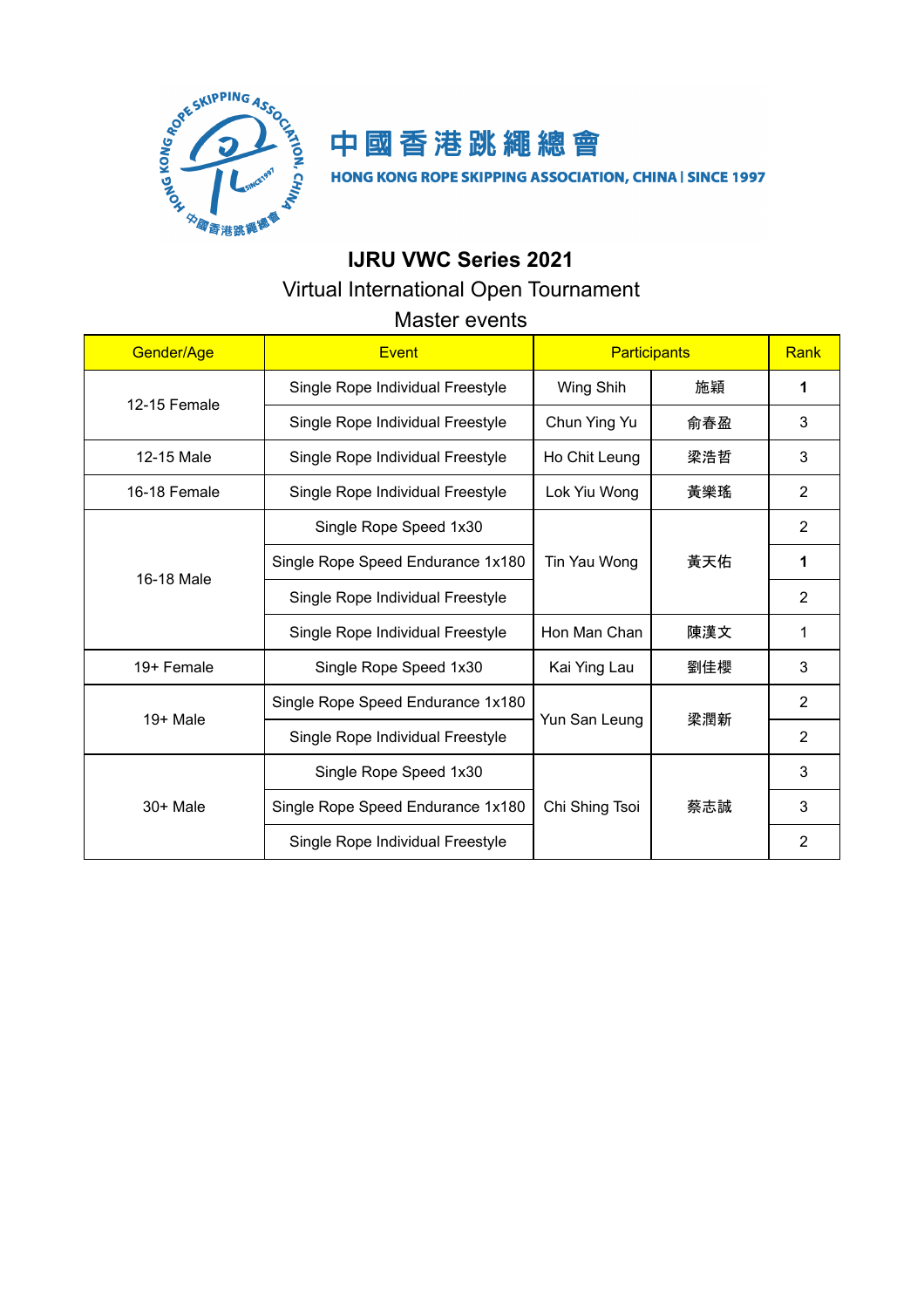



HONG KONG ROPE SKIPPING ASSOCIATION, CHINA | SINCE 1997

## **IJRU VWC Series 2021**

## Virtual International Open Tournament

## Master events

| Gender/Age   | Event                             | <b>Participants</b> |     | Rank           |
|--------------|-----------------------------------|---------------------|-----|----------------|
| 12-15 Female | Single Rope Individual Freestyle  | Wing Shih           | 施穎  | 1              |
|              | Single Rope Individual Freestyle  | Chun Ying Yu        | 俞春盈 | 3              |
| 12-15 Male   | Single Rope Individual Freestyle  | Ho Chit Leung       | 梁浩哲 | 3              |
| 16-18 Female | Single Rope Individual Freestyle  | Lok Yiu Wong        | 黃樂瑤 | $\overline{2}$ |
|              | Single Rope Speed 1x30            |                     |     | 2              |
| 16-18 Male   | Single Rope Speed Endurance 1x180 | Tin Yau Wong        | 黃天佑 | 1              |
|              | Single Rope Individual Freestyle  |                     |     | $\overline{2}$ |
|              | Single Rope Individual Freestyle  | Hon Man Chan<br>陳漢文 |     | 1              |
| 19+ Female   | Single Rope Speed 1x30            | Kai Ying Lau        | 劉佳櫻 | 3              |
| $19+$ Male   | Single Rope Speed Endurance 1x180 |                     |     | $\overline{2}$ |
|              | Single Rope Individual Freestyle  | Yun San Leung       | 梁潤新 | $\overline{2}$ |
|              | Single Rope Speed 1x30            |                     | 蔡志誠 | 3              |
| $30+$ Male   | Single Rope Speed Endurance 1x180 | Chi Shing Tsoi      |     | 3              |
|              | Single Rope Individual Freestyle  |                     |     | $\overline{2}$ |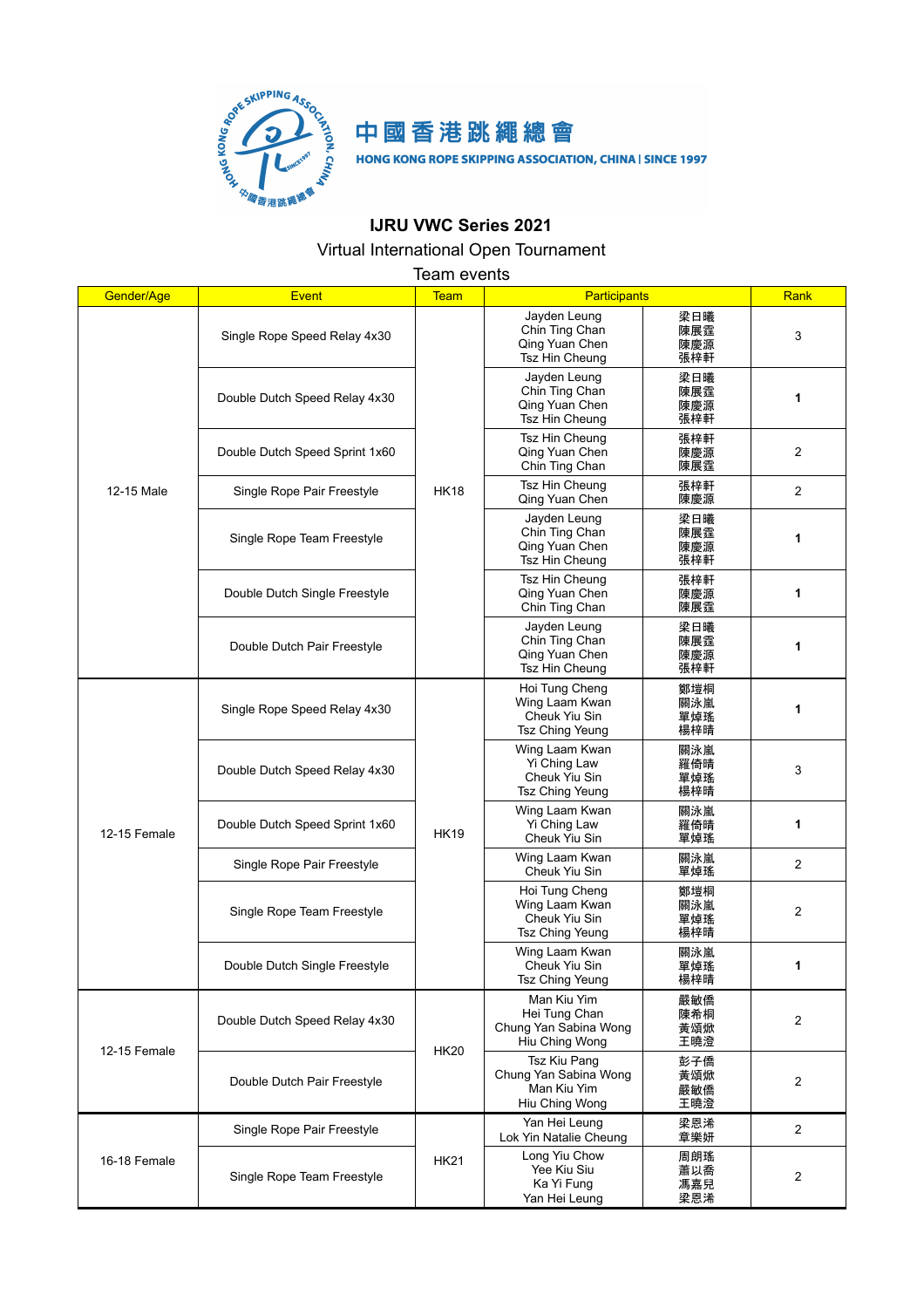

## 中國香港跳繩總會

HONG KONG ROPE SKIPPING ASSOCIATION, CHINA | SINCE 1997

## **IJRU VWC Series 2021**

### Virtual International Open Tournament

Team events

| Gender/Age   | <b>Event</b>                   | <b>Team</b> | <b>Participants</b>                                                     |                          | Rank         |
|--------------|--------------------------------|-------------|-------------------------------------------------------------------------|--------------------------|--------------|
|              | Single Rope Speed Relay 4x30   |             | Jayden Leung<br>Chin Ting Chan<br>Qing Yuan Chen<br>Tsz Hin Cheung      | 梁日曦<br>陳展霆<br>陳慶源<br>張梓軒 | 3            |
|              | Double Dutch Speed Relay 4x30  |             | Jayden Leung<br>Chin Ting Chan<br>Qing Yuan Chen<br>Tsz Hin Cheung      | 梁日曦<br>陳展霆<br>陳慶源<br>張梓軒 | 1            |
|              | Double Dutch Speed Sprint 1x60 |             | Tsz Hin Cheung<br>Qing Yuan Chen<br>Chin Ting Chan                      | 張梓軒<br>陳慶源<br>陳展霆        | 2            |
| 12-15 Male   | Single Rope Pair Freestyle     | <b>HK18</b> | Tsz Hin Cheung<br>Qing Yuan Chen                                        | 張梓軒<br>陳慶源               | 2            |
|              | Single Rope Team Freestyle     |             | Jayden Leung<br>Chin Ting Chan<br>Qing Yuan Chen<br>Tsz Hin Cheung      | 梁日曦<br>陳展霆<br>陳慶源<br>張梓軒 | 1            |
|              | Double Dutch Single Freestyle  |             | Tsz Hin Cheung<br>Qing Yuan Chen<br>Chin Ting Chan                      | 張梓軒<br>陳慶源<br>陳展霆        | 1            |
|              | Double Dutch Pair Freestyle    |             | Jayden Leung<br>Chin Ting Chan<br>Qing Yuan Chen<br>Tsz Hin Cheung      | 梁日曦<br>陳展霆<br>陳慶源<br>張梓軒 | 1            |
|              | Single Rope Speed Relay 4x30   | <b>HK19</b> | Hoi Tung Cheng<br>Wing Laam Kwan<br>Cheuk Yiu Sin<br>Tsz Ching Yeung    | 鄭塏桐<br>關泳嵐<br>單焯瑤<br>楊梓晴 | 1            |
|              | Double Dutch Speed Relay 4x30  |             | Wing Laam Kwan<br>Yi Ching Law<br>Cheuk Yiu Sin<br>Tsz Ching Yeung      | 關泳嵐<br>羅倚晴<br>單焯瑤<br>楊梓晴 | 3            |
| 12-15 Female | Double Dutch Speed Sprint 1x60 |             | Wing Laam Kwan<br>Yi Ching Law<br>Cheuk Yiu Sin                         | 關泳嵐<br>羅倚晴<br>單焯瑤        | 1            |
|              | Single Rope Pair Freestyle     |             | Wing Laam Kwan<br>Cheuk Yiu Sin                                         | 關泳嵐<br>單焯瑤               | 2            |
|              | Single Rope Team Freestyle     |             | Hoi Tung Cheng<br>Wing Laam Kwan<br>Cheuk Yiu Sin<br>Tsz Ching Yeung    | 鄭塏桐<br>關泳嵐<br>單焯瑤<br>楊梓晴 | 2            |
|              | Double Dutch Single Freestyle  |             | Wing Laam Kwan<br>Cheuk Yiu Sin<br>Tsz Ching Yeung                      | 關泳嵐<br>單焯瑤<br>楊梓晴        | 1            |
| 12-15 Female | Double Dutch Speed Relay 4x30  | <b>HK20</b> | Man Kiu Yim<br>Hei Tung Chan<br>Chung Yan Sabina Wong<br>Hiu Ching Wong | 嚴敏僑<br>陳希桐<br>黃頌焮<br>王曉澄 | 2            |
|              | Double Dutch Pair Freestyle    |             | Tsz Kiu Pang<br>Chung Yan Sabina Wong<br>Man Kiu Yim<br>Hiu Ching Wong  | 彭子僑<br>黃頌焮<br>嚴敏僑<br>王曉澄 | 2            |
|              | Single Rope Pair Freestyle     |             | Yan Hei Leung<br>Lok Yin Natalie Cheung                                 | 梁恩浠<br>章樂妍               | $\mathbf{2}$ |
| 16-18 Female | Single Rope Team Freestyle     | <b>HK21</b> | Long Yiu Chow<br>Yee Kiu Siu<br>Ka Yi Fung<br>Yan Hei Leung             | 周朗瑤<br>蕭以喬<br>馮嘉兒<br>梁恩浠 | 2            |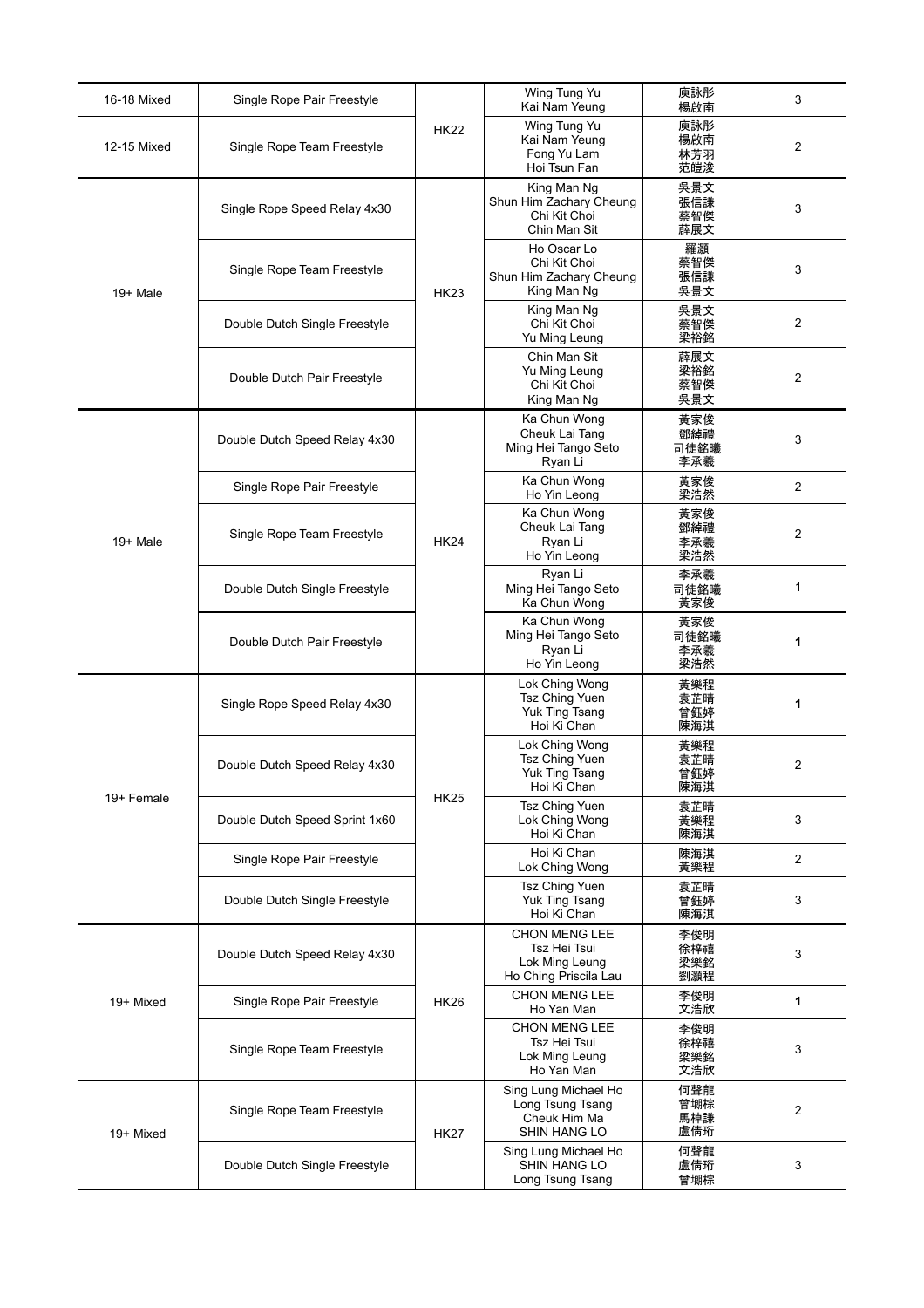| 16-18 Mixed | Single Rope Pair Freestyle     | <b>HK22</b> | Wing Tung Yu<br>Kai Nam Yeung                                                   | 庾詠彤<br>楊啟南                | 3              |
|-------------|--------------------------------|-------------|---------------------------------------------------------------------------------|---------------------------|----------------|
| 12-15 Mixed | Single Rope Team Freestyle     |             | Wing Tung Yu<br>Kai Nam Yeung<br>Fong Yu Lam<br>Hoi Tsun Fan                    | 庾詠彤<br>楊啟南<br>林芳羽<br>范皚浚  | 2              |
| $19+$ Male  | Single Rope Speed Relay 4x30   | <b>HK23</b> | King Man Ng<br>Shun Him Zachary Cheung<br>Chi Kit Choi<br>Chin Man Sit          | 吳景文<br>張信謙<br>蔡智傑<br>薜展文  | 3              |
|             | Single Rope Team Freestyle     |             | Ho Oscar Lo<br>Chi Kit Choi<br>Shun Him Zachary Cheung<br>King Man Ng           | 羅灝<br>蔡智傑<br>張信謙<br>吳景文   | 3              |
|             | Double Dutch Single Freestyle  |             | King Man Ng<br>Chi Kit Choi<br>Yu Ming Leung                                    | 吳景文<br>蔡智傑<br>梁裕銘         | 2              |
|             | Double Dutch Pair Freestyle    |             | Chin Man Sit<br>Yu Ming Leung<br>Chi Kit Choi<br>King Man Ng                    | 薜展文<br>梁裕銘<br>蔡智傑<br>吳景文  | 2              |
| 19+ Male    | Double Dutch Speed Relay 4x30  | <b>HK24</b> | Ka Chun Wong<br>Cheuk Lai Tang<br>Ming Hei Tango Seto<br>Ryan Li                | 黃家俊<br>鄧綽禮<br>司徒銘曦<br>李承羲 | 3              |
|             | Single Rope Pair Freestyle     |             | Ka Chun Wong<br>Ho Yin Leong                                                    | 黃家俊<br>梁浩然                | $\overline{2}$ |
|             | Single Rope Team Freestyle     |             | Ka Chun Wong<br>Cheuk Lai Tang<br>Ryan Li<br>Ho Yin Leong                       | 黃家俊<br>鄧綽禮<br>李承羲<br>梁浩然  | 2              |
|             | Double Dutch Single Freestyle  |             | Ryan Li<br>Ming Hei Tango Seto<br>Ka Chun Wong                                  | 李承羲<br>司徒銘曦<br>黃家俊        | 1              |
|             | Double Dutch Pair Freestyle    |             | Ka Chun Wong<br>Ming Hei Tango Seto<br>Ryan Li<br>Ho Yin Leong                  | 黃家俊<br>司徒銘曦<br>李承羲<br>梁浩然 | 1              |
| 19+ Female  | Single Rope Speed Relay 4x30   | <b>HK25</b> | Lok Ching Wong<br>Tsz Ching Yuen<br>Yuk Ting Tsang<br>Hoi Ki Chan               | 黃樂程<br>袁芷晴<br>曾鈺婷<br>陳海淇  | 1              |
|             | Double Dutch Speed Relay 4x30  |             | Lok Ching Wong<br>Tsz Ching Yuen<br>Yuk Ting Tsang<br>Hoi Ki Chan               | 黃樂程<br>袁芷晴<br>曾鈺婷<br>陳海淇  | 2              |
|             | Double Dutch Speed Sprint 1x60 |             | Tsz Ching Yuen<br>Lok Ching Wong<br>Hoi Ki Chan                                 | 袁芷晴<br>黃樂程<br>陳海淇         | 3              |
|             | Single Rope Pair Freestyle     |             | Hoi Ki Chan<br>Lok Ching Wong                                                   | 陳海淇<br>黃樂程                | $\overline{2}$ |
|             | Double Dutch Single Freestyle  |             | <b>Tsz Ching Yuen</b><br>Yuk Ting Tsang<br>Hoi Ki Chan                          | 袁芷晴<br>曾鈺婷<br>陳海淇         | 3              |
| 19+ Mixed   | Double Dutch Speed Relay 4x30  | <b>HK26</b> | <b>CHON MENG LEE</b><br>Tsz Hei Tsui<br>Lok Ming Leung<br>Ho Ching Priscila Lau | 李俊明<br>徐梓禧<br>梁樂銘<br>劉灝程  | 3              |
|             | Single Rope Pair Freestyle     |             | <b>CHON MENG LEE</b><br>Ho Yan Man                                              | 李俊明<br>文浩欣                | 1              |
|             | Single Rope Team Freestyle     |             | <b>CHON MENG LEE</b><br>Tsz Hei Tsui<br>Lok Ming Leung<br>Ho Yan Man            | 李俊明<br>徐梓禧<br>梁樂銘<br>文浩欣  | 3              |
| 19+ Mixed   | Single Rope Team Freestyle     | <b>HK27</b> | Sing Lung Michael Ho<br>Long Tsung Tsang<br>Cheuk Him Ma<br><b>SHIN HANG LO</b> | 何聲龍<br>曾堋棕<br>馬棹謙<br>盧倩珩  | 2              |
|             | Double Dutch Single Freestyle  |             | Sing Lung Michael Ho<br><b>SHIN HANG LO</b><br>Long Tsung Tsang                 | 何聲龍<br>盧倩珩<br>曾堋棕         | 3              |